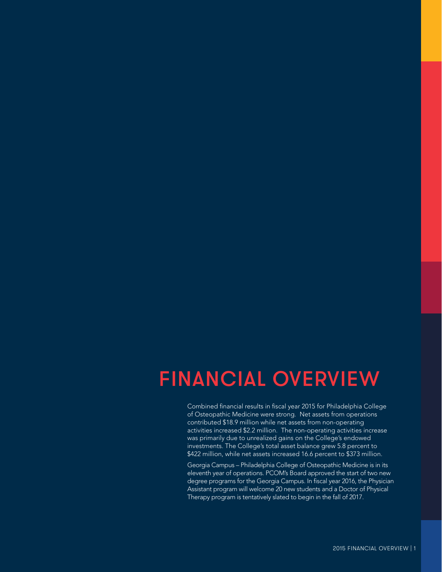# **FINANCIAL OVERVIEW**

Combined financial results in fiscal year 2015 for Philadelphia College of Osteopathic Medicine were strong. Net assets from operations contributed \$18.9 million while net assets from non-operating activities increased \$2.2 million. The non-operating activities increase was primarily due to unrealized gains on the College's endowed investments. The College's total asset balance grew 5.8 percent to \$422 million, while net assets increased 16.6 percent to \$373 million.

Georgia Campus - Philadelphia College of Osteopathic Medicine is in its eleventh year of operations. PCOM's Board approved the start of two new degree programs for the Georgia Campus. In fiscal year 2016, the Physician Assistant program will welcome 20 new students and a Doctor of Physical Therapy program is tentatively slated to begin in the fall of 2017.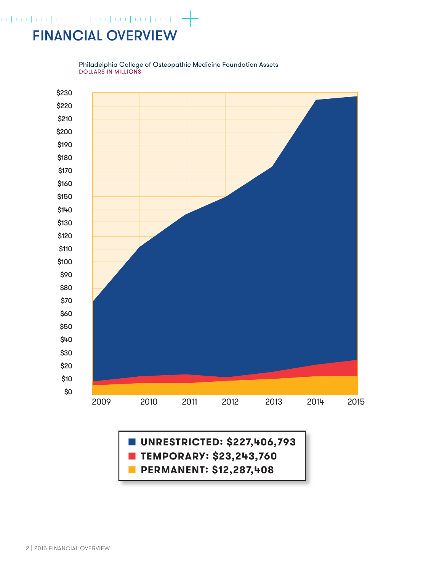## $\begin{picture}(100,100) \put(0,0){\line(1,0){10}} \put(0,0){\line(1,0){10}} \put(0,0){\line(1,0){10}} \put(0,0){\line(1,0){10}} \put(0,0){\line(1,0){10}} \put(0,0){\line(1,0){10}} \put(0,0){\line(1,0){10}} \put(0,0){\line(1,0){10}} \put(0,0){\line(1,0){10}} \put(0,0){\line(1,0){10}} \put(0,0){\line(1,0){10}} \put(0,0){\line(1,0){10}} \put($ **FINANCIAL OVERVIEW**



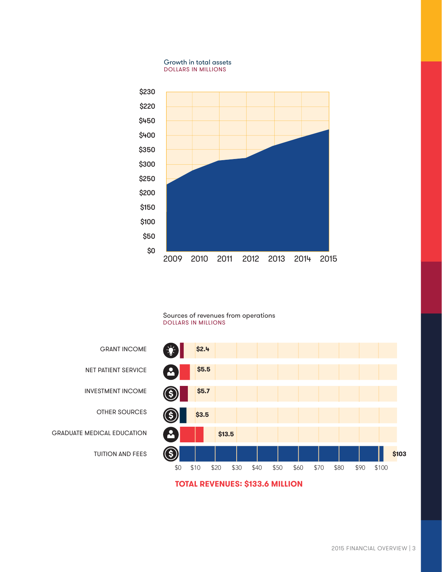

### Sources of revenues from operations **DOLLARS IN MILLIONS**



# **INVESTMENT INCOME**

**NET PATIENT SERVICE** 

**OTHER SOURCES** 

**GRANT INCOME** 

**GRADUATE MEDICAL EDUCATION** 

**TUITION AND FEES** 

## **TOTAL REVENUES: \$133.6 MILLION**